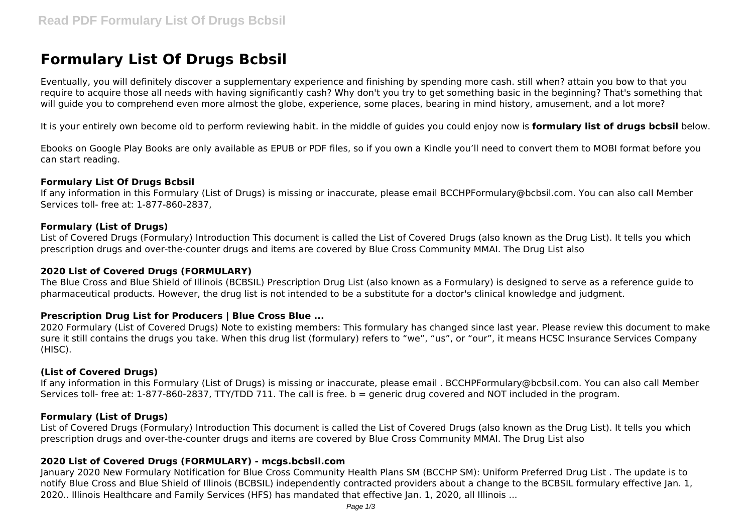# **Formulary List Of Drugs Bcbsil**

Eventually, you will definitely discover a supplementary experience and finishing by spending more cash. still when? attain you bow to that you require to acquire those all needs with having significantly cash? Why don't you try to get something basic in the beginning? That's something that will guide you to comprehend even more almost the globe, experience, some places, bearing in mind history, amusement, and a lot more?

It is your entirely own become old to perform reviewing habit. in the middle of guides you could enjoy now is **formulary list of drugs bcbsil** below.

Ebooks on Google Play Books are only available as EPUB or PDF files, so if you own a Kindle you'll need to convert them to MOBI format before you can start reading.

#### **Formulary List Of Drugs Bcbsil**

If any information in this Formulary (List of Drugs) is missing or inaccurate, please email BCCHPFormulary@bcbsil.com. You can also call Member Services toll- free at: 1-877-860-2837,

## **Formulary (List of Drugs)**

List of Covered Drugs (Formulary) Introduction This document is called the List of Covered Drugs (also known as the Drug List). It tells you which prescription drugs and over-the-counter drugs and items are covered by Blue Cross Community MMAI. The Drug List also

#### **2020 List of Covered Drugs (FORMULARY)**

The Blue Cross and Blue Shield of Illinois (BCBSIL) Prescription Drug List (also known as a Formulary) is designed to serve as a reference guide to pharmaceutical products. However, the drug list is not intended to be a substitute for a doctor's clinical knowledge and judgment.

## **Prescription Drug List for Producers | Blue Cross Blue ...**

2020 Formulary (List of Covered Drugs) Note to existing members: This formulary has changed since last year. Please review this document to make sure it still contains the drugs you take. When this drug list (formulary) refers to "we", "us", or "our", it means HCSC Insurance Services Company (HISC).

## **(List of Covered Drugs)**

If any information in this Formulary (List of Drugs) is missing or inaccurate, please email . BCCHPFormulary@bcbsil.com. You can also call Member Services toll- free at: 1-877-860-2837, TTY/TDD 711. The call is free. b = generic drug covered and NOT included in the program.

## **Formulary (List of Drugs)**

List of Covered Drugs (Formulary) Introduction This document is called the List of Covered Drugs (also known as the Drug List). It tells you which prescription drugs and over-the-counter drugs and items are covered by Blue Cross Community MMAI. The Drug List also

## **2020 List of Covered Drugs (FORMULARY) - mcgs.bcbsil.com**

January 2020 New Formulary Notification for Blue Cross Community Health Plans SM (BCCHP SM): Uniform Preferred Drug List . The update is to notify Blue Cross and Blue Shield of Illinois (BCBSIL) independently contracted providers about a change to the BCBSIL formulary effective Jan. 1, 2020.. Illinois Healthcare and Family Services (HFS) has mandated that effective Jan. 1, 2020, all Illinois ...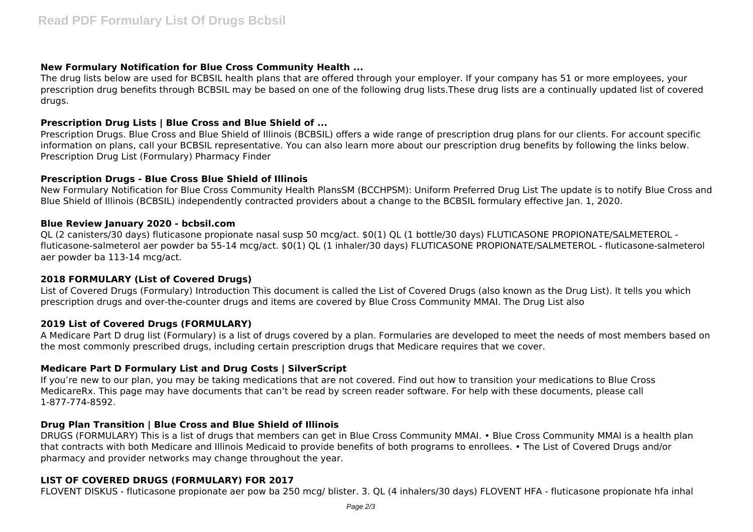## **New Formulary Notification for Blue Cross Community Health ...**

The drug lists below are used for BCBSIL health plans that are offered through your employer. If your company has 51 or more employees, your prescription drug benefits through BCBSIL may be based on one of the following drug lists.These drug lists are a continually updated list of covered drugs.

## **Prescription Drug Lists | Blue Cross and Blue Shield of ...**

Prescription Drugs. Blue Cross and Blue Shield of Illinois (BCBSIL) offers a wide range of prescription drug plans for our clients. For account specific information on plans, call your BCBSIL representative. You can also learn more about our prescription drug benefits by following the links below. Prescription Drug List (Formulary) Pharmacy Finder

## **Prescription Drugs - Blue Cross Blue Shield of Illinois**

New Formulary Notification for Blue Cross Community Health PlansSM (BCCHPSM): Uniform Preferred Drug List The update is to notify Blue Cross and Blue Shield of Illinois (BCBSIL) independently contracted providers about a change to the BCBSIL formulary effective Jan. 1, 2020.

## **Blue Review January 2020 - bcbsil.com**

QL (2 canisters/30 days) fluticasone propionate nasal susp 50 mcg/act. \$0(1) QL (1 bottle/30 days) FLUTICASONE PROPIONATE/SALMETEROL fluticasone-salmeterol aer powder ba 55-14 mcg/act. \$0(1) QL (1 inhaler/30 days) FLUTICASONE PROPIONATE/SALMETEROL - fluticasone-salmeterol aer powder ba 113-14 mcg/act.

# **2018 FORMULARY (List of Covered Drugs)**

List of Covered Drugs (Formulary) Introduction This document is called the List of Covered Drugs (also known as the Drug List). It tells you which prescription drugs and over-the-counter drugs and items are covered by Blue Cross Community MMAI. The Drug List also

# **2019 List of Covered Drugs (FORMULARY)**

A Medicare Part D drug list (Formulary) is a list of drugs covered by a plan. Formularies are developed to meet the needs of most members based on the most commonly prescribed drugs, including certain prescription drugs that Medicare requires that we cover.

# **Medicare Part D Formulary List and Drug Costs | SilverScript**

If you're new to our plan, you may be taking medications that are not covered. Find out how to transition your medications to Blue Cross MedicareRx. This page may have documents that can't be read by screen reader software. For help with these documents, please call 1-877-774-8592.

# **Drug Plan Transition | Blue Cross and Blue Shield of Illinois**

DRUGS (FORMULARY) This is a list of drugs that members can get in Blue Cross Community MMAI. • Blue Cross Community MMAI is a health plan that contracts with both Medicare and Illinois Medicaid to provide benefits of both programs to enrollees. • The List of Covered Drugs and/or pharmacy and provider networks may change throughout the year.

# **LIST OF COVERED DRUGS (FORMULARY) FOR 2017**

FLOVENT DISKUS - fluticasone propionate aer pow ba 250 mcg/ blister. 3. QL (4 inhalers/30 days) FLOVENT HFA - fluticasone propionate hfa inhal